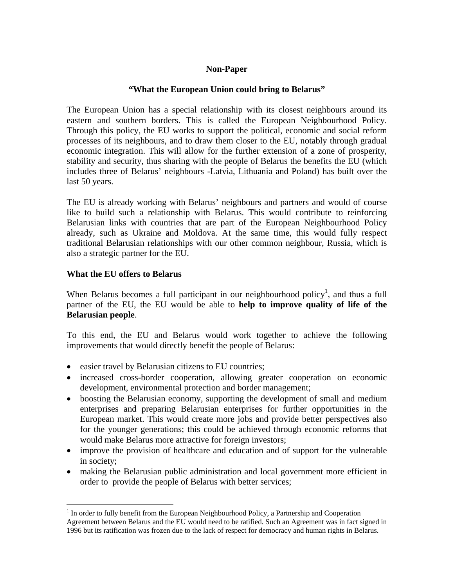## **Non-Paper**

### **"What the European Union could bring to Belarus"**

The European Union has a special relationship with its closest neighbours around its eastern and southern borders. This is called the European Neighbourhood Policy. Through this policy, the EU works to support the political, economic and social reform processes of its neighbours, and to draw them closer to the EU, notably through gradual economic integration. This will allow for the further extension of a zone of prosperity, stability and security, thus sharing with the people of Belarus the benefits the EU (which includes three of Belarus' neighbours -Latvia, Lithuania and Poland) has built over the last 50 years.

The EU is already working with Belarus' neighbours and partners and would of course like to build such a relationship with Belarus. This would contribute to reinforcing Belarusian links with countries that are part of the European Neighbourhood Policy already, such as Ukraine and Moldova. At the same time, this would fully respect traditional Belarusian relationships with our other common neighbour, Russia, which is also a strategic partner for the EU.

#### **What the EU offers to Belarus**

 $\overline{a}$ 

When Belarus becomes a full participant in our neighbourhood policy<sup>1</sup>, and thus a full partner of the EU, the EU would be able to **help to improve quality of life of the Belarusian people**.

To this end, the EU and Belarus would work together to achieve the following improvements that would directly benefit the people of Belarus:

- easier travel by Belarusian citizens to EU countries;
- increased cross-border cooperation, allowing greater cooperation on economic development, environmental protection and border management;
- boosting the Belarusian economy, supporting the development of small and medium enterprises and preparing Belarusian enterprises for further opportunities in the European market. This would create more jobs and provide better perspectives also for the younger generations; this could be achieved through economic reforms that would make Belarus more attractive for foreign investors;
- improve the provision of healthcare and education and of support for the vulnerable in society;
- making the Belarusian public administration and local government more efficient in order to provide the people of Belarus with better services;

<sup>&</sup>lt;sup>1</sup> In order to fully benefit from the European Neighbourhood Policy, a Partnership and Cooperation Agreement between Belarus and the EU would need to be ratified. Such an Agreement was in fact signed in 1996 but its ratification was frozen due to the lack of respect for democracy and human rights in Belarus.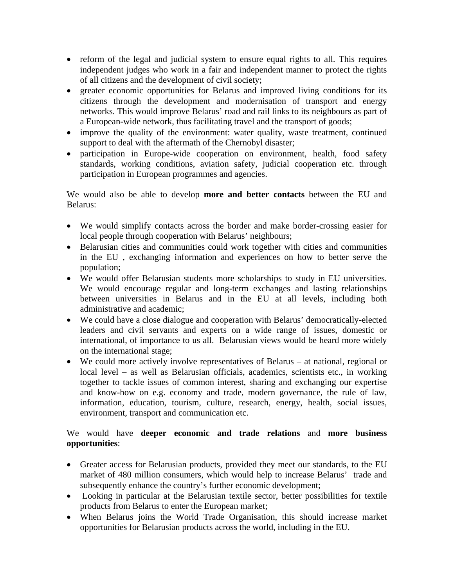- reform of the legal and judicial system to ensure equal rights to all. This requires independent judges who work in a fair and independent manner to protect the rights of all citizens and the development of civil society;
- greater economic opportunities for Belarus and improved living conditions for its citizens through the development and modernisation of transport and energy networks. This would improve Belarus' road and rail links to its neighbours as part of a European-wide network, thus facilitating travel and the transport of goods;
- improve the quality of the environment: water quality, waste treatment, continued support to deal with the aftermath of the Chernobyl disaster;
- participation in Europe-wide cooperation on environment, health, food safety standards, working conditions, aviation safety, judicial cooperation etc. through participation in European programmes and agencies.

We would also be able to develop **more and better contacts** between the EU and Belarus:

- We would simplify contacts across the border and make border-crossing easier for local people through cooperation with Belarus' neighbours;
- Belarusian cities and communities could work together with cities and communities in the EU , exchanging information and experiences on how to better serve the population;
- We would offer Belarusian students more scholarships to study in EU universities. We would encourage regular and long-term exchanges and lasting relationships between universities in Belarus and in the EU at all levels, including both administrative and academic;
- We could have a close dialogue and cooperation with Belarus' democratically-elected leaders and civil servants and experts on a wide range of issues, domestic or international, of importance to us all. Belarusian views would be heard more widely on the international stage;
- We could more actively involve representatives of Belarus at national, regional or local level – as well as Belarusian officials, academics, scientists etc., in working together to tackle issues of common interest, sharing and exchanging our expertise and know-how on e.g. economy and trade, modern governance, the rule of law, information, education, tourism, culture, research, energy, health, social issues, environment, transport and communication etc.

# We would have **deeper economic and trade relations** and **more business opportunities**:

- Greater access for Belarusian products, provided they meet our standards, to the EU market of 480 million consumers, which would help to increase Belarus' trade and subsequently enhance the country's further economic development;
- Looking in particular at the Belarusian textile sector, better possibilities for textile products from Belarus to enter the European market;
- When Belarus joins the World Trade Organisation, this should increase market opportunities for Belarusian products across the world, including in the EU.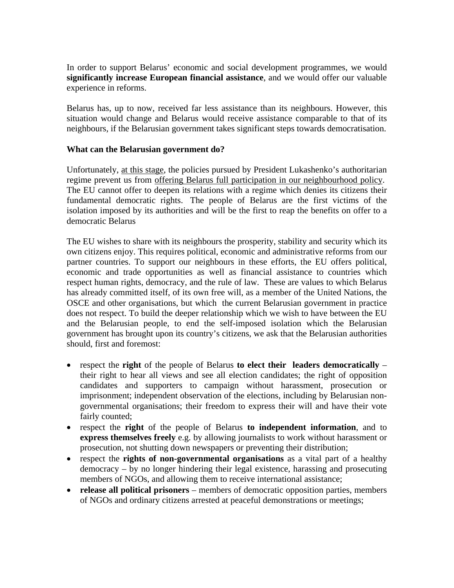In order to support Belarus' economic and social development programmes, we would **significantly increase European financial assistance**, and we would offer our valuable experience in reforms.

Belarus has, up to now, received far less assistance than its neighbours. However, this situation would change and Belarus would receive assistance comparable to that of its neighbours, if the Belarusian government takes significant steps towards democratisation.

#### **What can the Belarusian government do?**

Unfortunately, at this stage, the policies pursued by President Lukashenko's authoritarian regime prevent us from offering Belarus full participation in our neighbourhood policy. The EU cannot offer to deepen its relations with a regime which denies its citizens their fundamental democratic rights. The people of Belarus are the first victims of the isolation imposed by its authorities and will be the first to reap the benefits on offer to a democratic Belarus

The EU wishes to share with its neighbours the prosperity, stability and security which its own citizens enjoy. This requires political, economic and administrative reforms from our partner countries. To support our neighbours in these efforts, the EU offers political, economic and trade opportunities as well as financial assistance to countries which respect human rights, democracy, and the rule of law. These are values to which Belarus has already committed itself, of its own free will, as a member of the United Nations, the OSCE and other organisations, but which the current Belarusian government in practice does not respect. To build the deeper relationship which we wish to have between the EU and the Belarusian people, to end the self-imposed isolation which the Belarusian government has brought upon its country's citizens, we ask that the Belarusian authorities should, first and foremost:

- respect the **right** of the people of Belarus **to elect their leaders democratically** their right to hear all views and see all election candidates; the right of opposition candidates and supporters to campaign without harassment, prosecution or imprisonment; independent observation of the elections, including by Belarusian nongovernmental organisations; their freedom to express their will and have their vote fairly counted;
- respect the **right** of the people of Belarus **to independent information**, and to **express themselves freely** e.g. by allowing journalists to work without harassment or prosecution, not shutting down newspapers or preventing their distribution;
- respect the **rights of non-governmental organisations** as a vital part of a healthy democracy – by no longer hindering their legal existence, harassing and prosecuting members of NGOs, and allowing them to receive international assistance;
- **release all political prisoners** members of democratic opposition parties, members of NGOs and ordinary citizens arrested at peaceful demonstrations or meetings;